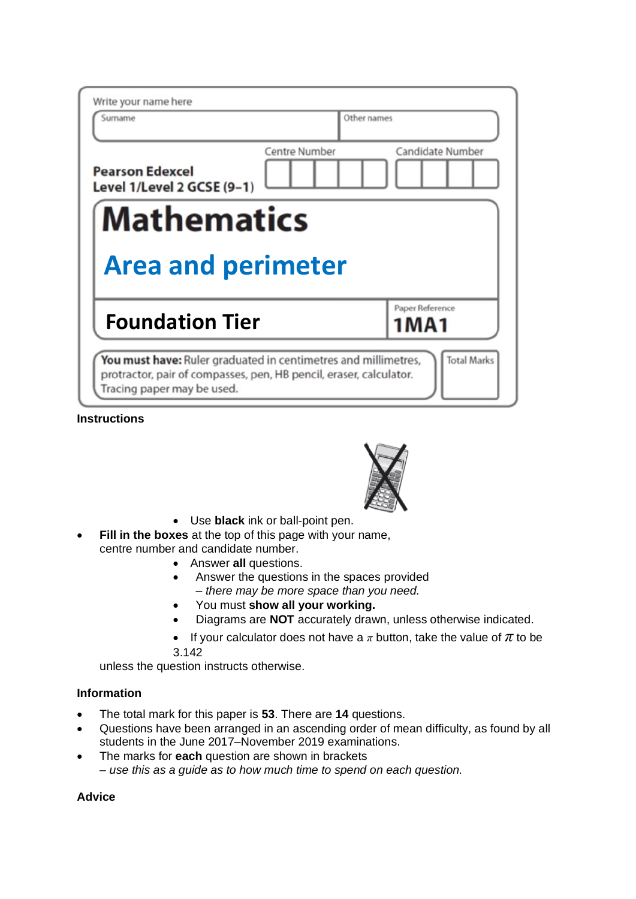| Write your name here<br>Surname                      | Other names                       |
|------------------------------------------------------|-----------------------------------|
| <b>Pearson Edexcel</b><br>Level 1/Level 2 GCSE (9-1) | Candidate Number<br>Centre Number |
| <b>Mathematics</b>                                   |                                   |
|                                                      |                                   |
| <b>Area and perimeter</b>                            |                                   |
| <b>Foundation Tier</b>                               | Paper Reference<br>1MA1           |

**Instructions**



- Use **black** ink or ball-point pen.
- **Fill in the boxes** at the top of this page with your name, centre number and candidate number.
	- Answer **all** questions.
	- Answer the questions in the spaces provided
		- *– there may be more space than you need.*
	- You must **show all your working.**
	- Diagrams are **NOT** accurately drawn, unless otherwise indicated.
	- If your calculator does not have a  $\pi$  button, take the value of  $\pi$  to be
	- 3.142

unless the question instructs otherwise.

## **Information**

- The total mark for this paper is **53**. There are **14** questions.
- Questions have been arranged in an ascending order of mean difficulty, as found by all students in the June 2017–November 2019 examinations.
- The marks for **each** question are shown in brackets *– use this as a guide as to how much time to spend on each question.*

## **Advice**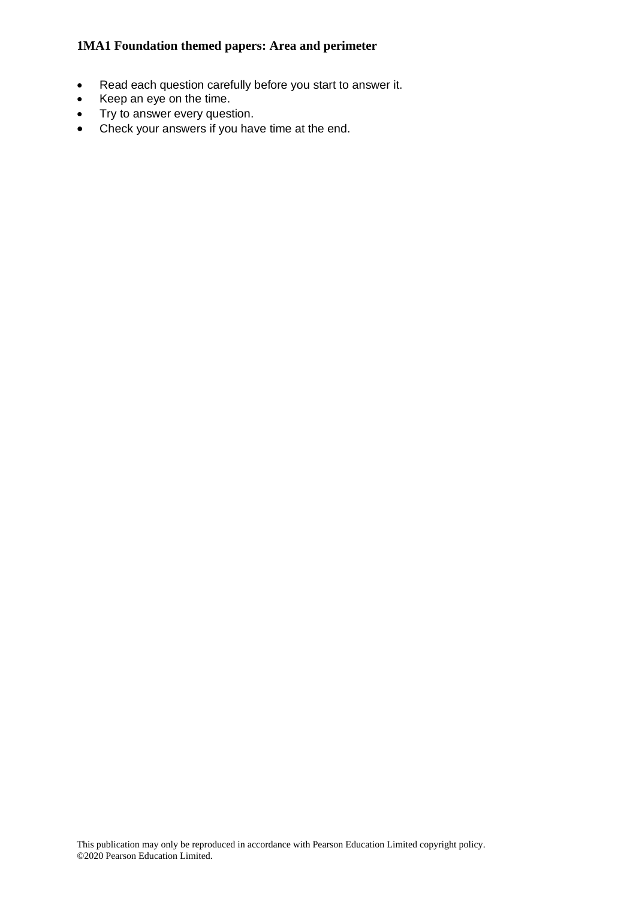- Read each question carefully before you start to answer it.
- Keep an eye on the time.
- Try to answer every question.
- Check your answers if you have time at the end.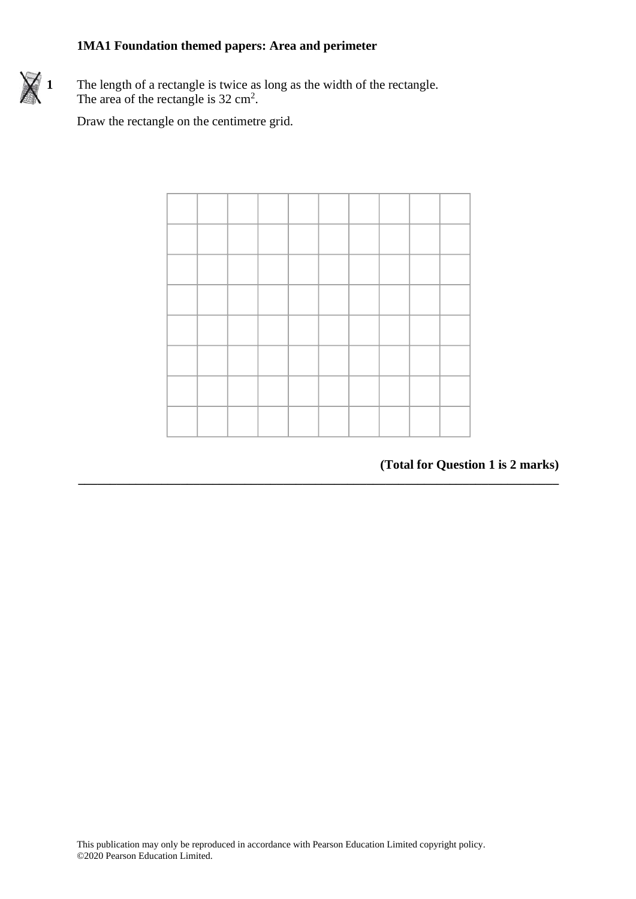

**1** The length of a rectangle is twice as long as the width of the rectangle. The area of the rectangle is  $32 \text{ cm}^2$ .

Draw the rectangle on the centimetre grid.



**\_\_\_\_\_\_\_\_\_\_\_\_\_\_\_\_\_\_\_\_\_\_\_\_\_\_\_\_\_\_\_\_\_\_\_\_\_\_\_\_\_\_\_\_\_\_\_\_\_\_\_\_\_\_\_\_\_\_\_\_\_\_\_\_\_\_\_\_\_\_\_\_\_\_\_**

# **(Total for Question 1 is 2 marks) (Total for Question 8 is 2 marks)**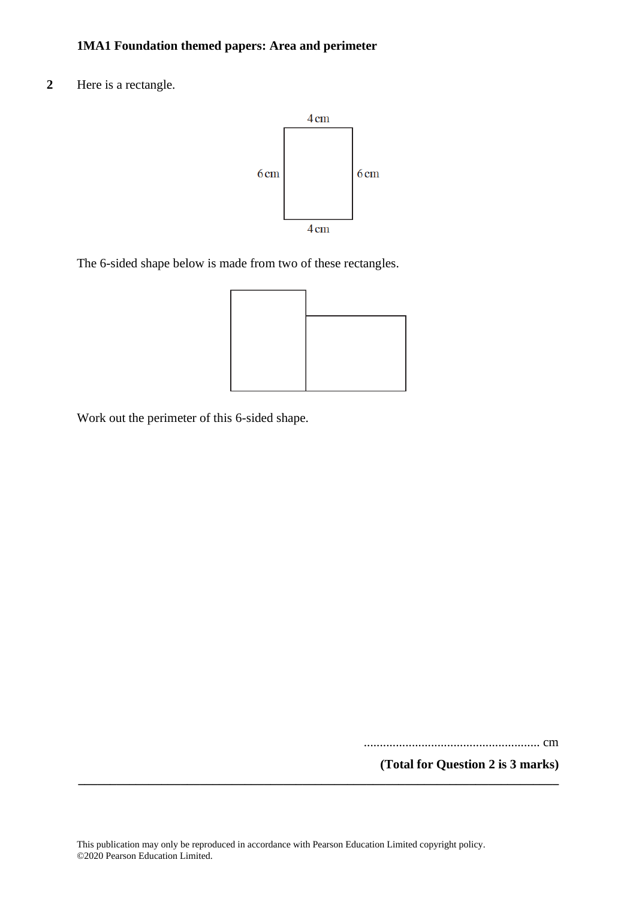**2** Here is a rectangle.



The 6-sided shape below is made from two of these rectangles.



Work out the perimeter of this 6-sided shape.

....................................................... cm

**(Total for Question 2 is 3 marks)**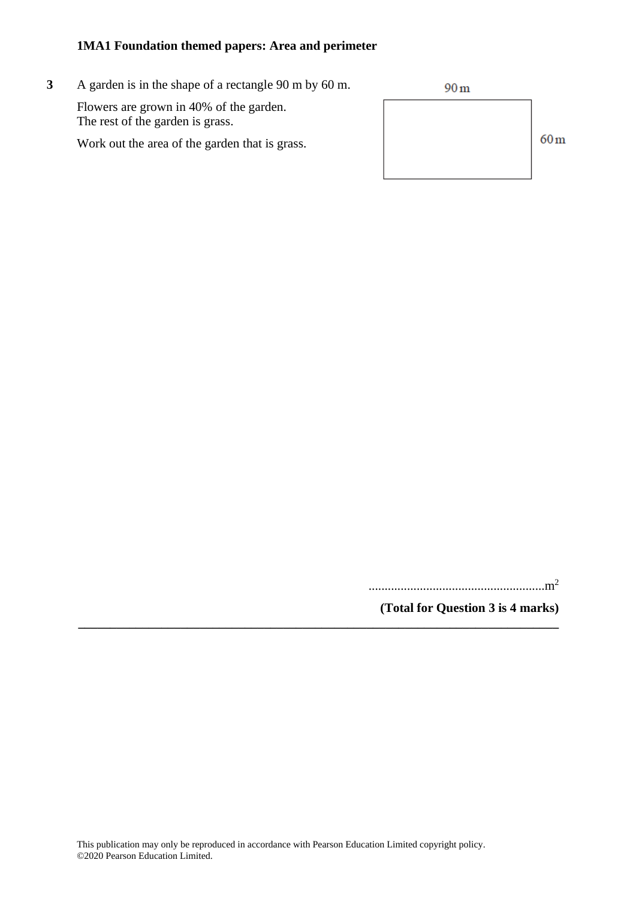**3** A garden is in the shape of a rectangle 90 m by 60 m.

Flowers are grown in 40% of the garden. The rest of the garden is grass.

Work out the area of the garden that is grass.



.......................................................m<sup>2</sup>

**(Total for Question 3 is 4 marks)**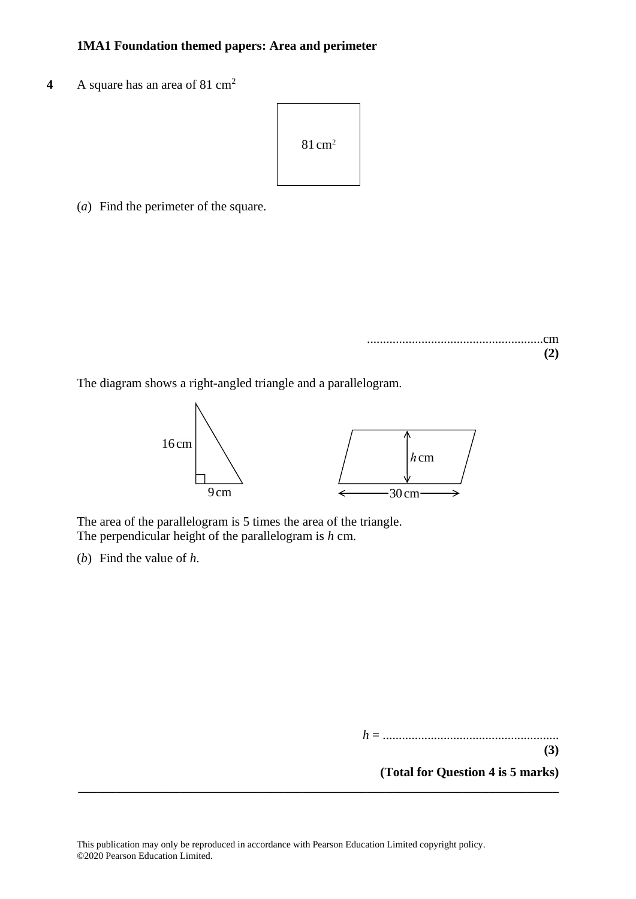**4** A square has an area of 81 cm<sup>2</sup>  $\frac{1}{3}$  A square has an area of 81 cm



(*a*) Find the perimeter of the square. (a) Find the perimeter of the square.

.......................................................cm **(2)** .......................................................cm **(2) (2)**

The diagram shows a right-angled triangle and a parallelogram. The diagram shows <sup>a</sup> right-angled triangle and <sup>a</sup> parallelogram.



The area of the parallelogram is 5 times the area of the triangle. The perpendicular height of the parallelogram is *h* cm.  $T$  are area of the parallelogram is  $\frac{1}{2}$  times the area of the triangle. The triangle. The triangle. The triangle. The triangle. The triangle. The triangle. The triangle. The triangle. The triangle. The triangle. Th The area of the parallelogram is *h* the side area of the parallelogram is *h* the parallelogram is *h* and  $\frac{1}{n}$ . The area of the parallelogram is 5 times the area of the triangle. I he perpendicular height of the parallelogram is *h* cm.

(*b*) Find the value of *h*. (b) Find the value of *h*.  $(v)$  Find the value of  $\rho$ .

*h* = .......................................................

**(Total for Question 4 is 5 marks)**

**(3)**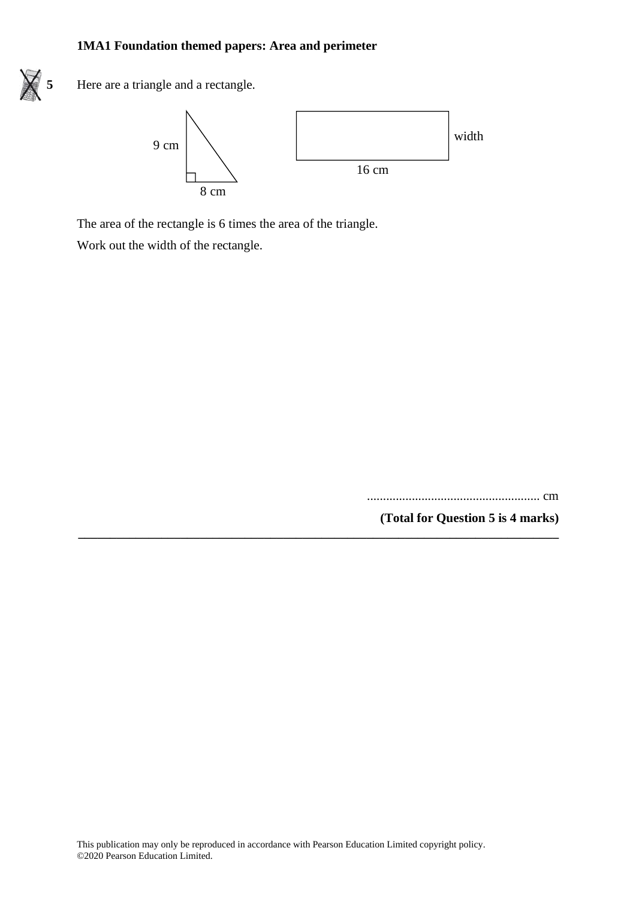

**5** Here are a triangle and a rectangle. **15** Here are <sup>a</sup> triangle and <sup>a</sup> rectangle.



**\_\_\_\_\_\_\_\_\_\_\_\_\_\_\_\_\_\_\_\_\_\_\_\_\_\_\_\_\_\_\_\_\_\_\_\_\_\_\_\_\_\_\_\_\_\_\_\_\_\_\_\_\_\_\_\_\_\_\_\_\_\_\_\_\_\_\_\_\_\_\_\_\_\_\_**

The area of the rectangle is 6 times the area of the triangle. The area of the rectangle is 6 times the area of the triangle.

Work out the width of the rectangle. Work out the width of the rectangle.

...................................................... cm

**(Total for Question 5 is 4 marks)**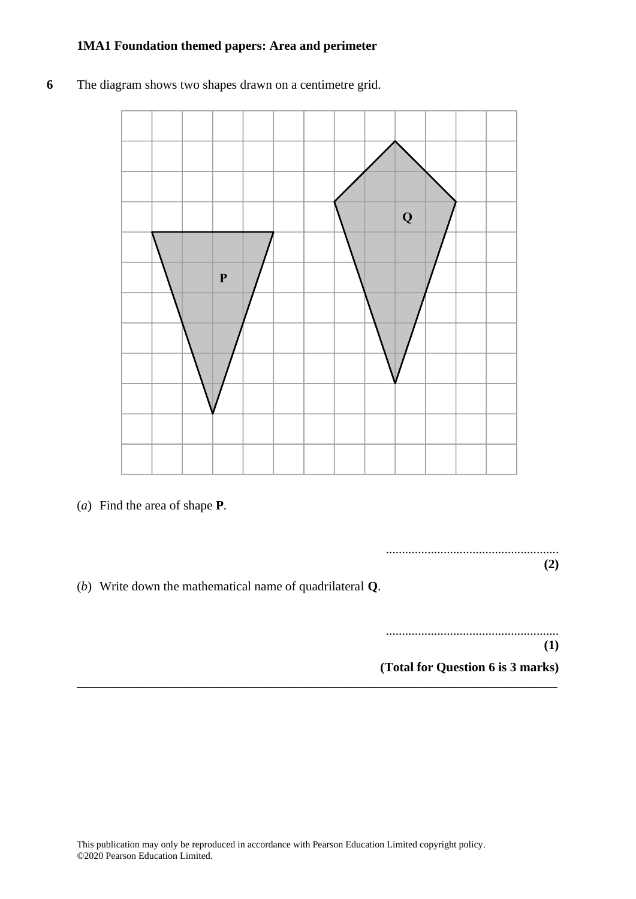- **P Q**
- **6** The diagram shows two shapes drawn on a centimetre grid.

(*a*) Find the area of shape **P**. (a) Find the area of shape **P**.

......................................................  $(2)$ 

(*b*) Write down the mathematical name of quadrilateral **Q**.

......................................................  $(1)$ 

**(Total for Question 6 is 3 marks) (1)**

**(Total for Question 10 is 3 marks)**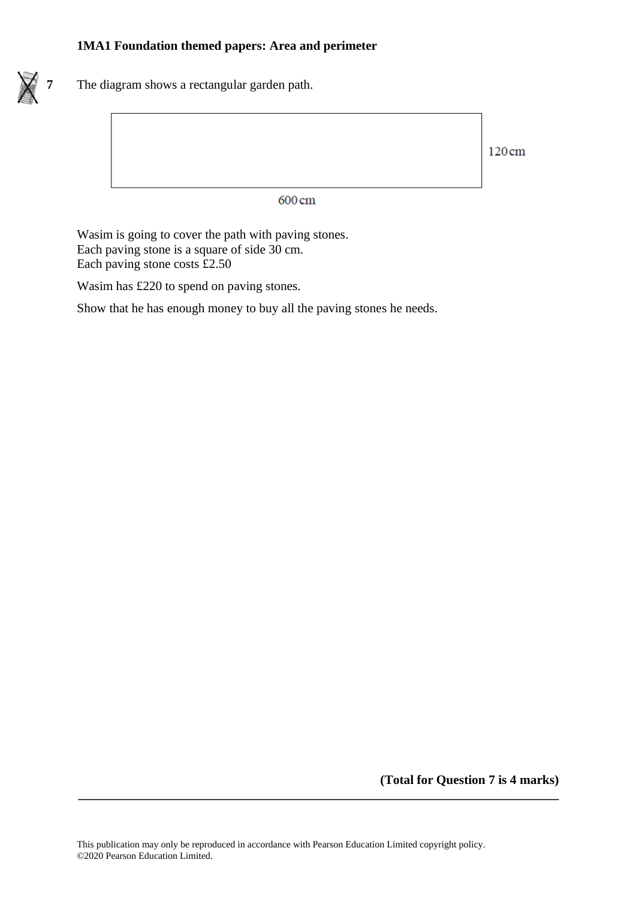

**7** The diagram shows a rectangular garden path.

120cm

600 cm

Wasim is going to cover the path with paving stones. Each paving stone is a square of side 30 cm. Each paving stone costs £2.50

Wasim has £220 to spend on paving stones.

Show that he has enough money to buy all the paving stones he needs.

**(Total for Question 7 is 4 marks)**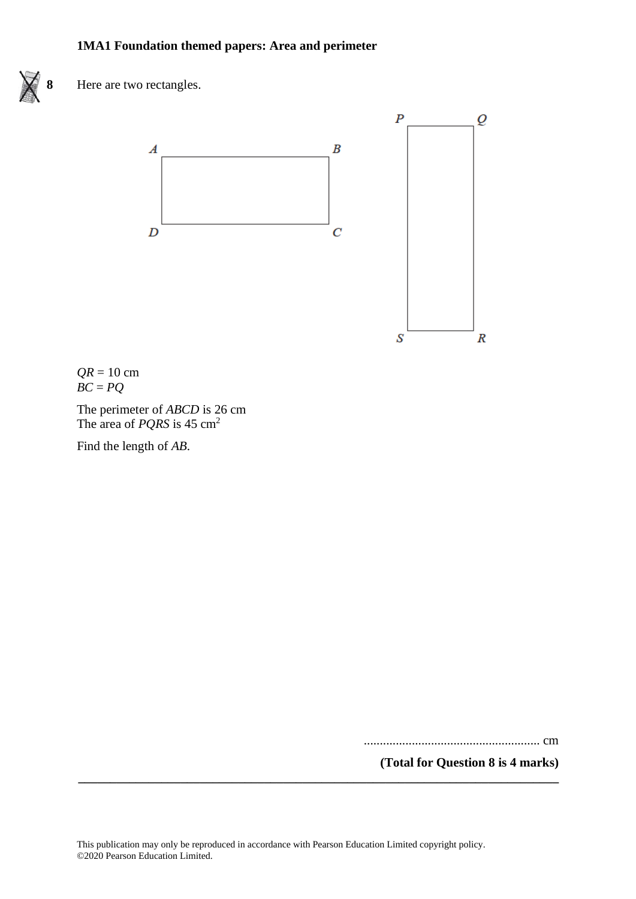

**8** Here are two rectangles.



*QR* = 10 cm *BC* = *PQ*

The perimeter of *ABCD* is 26 cm The area of *PQRS* is 45 cm<sup>2</sup>

Find the length of *AB*.

....................................................... cm

**(Total for Question 8 is 4 marks)**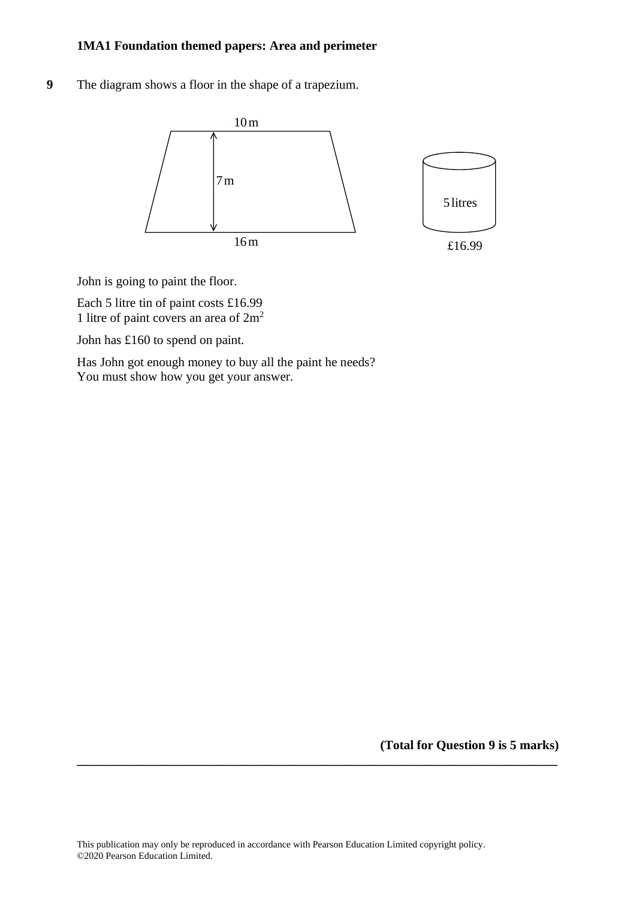**9** The diagram shows a floor in the shape of a trapezium.



John is going to paint the floor. John is going to paint the floor.

Each 5 litre tin of paint costs £16.99 1 litre of paint covers an area of  $2m<sup>2</sup>$ 

John has £160 to spend on paint. John has £160 to spend on paint.

Has John got enough money to buy all the paint he needs? Has John go<sup>t</sup> enough money to buy all the paint he needs? You must show how you get your answer. You must show how you ge<sup>t</sup> your answer.

**(Total for Question 9 is 5 marks)**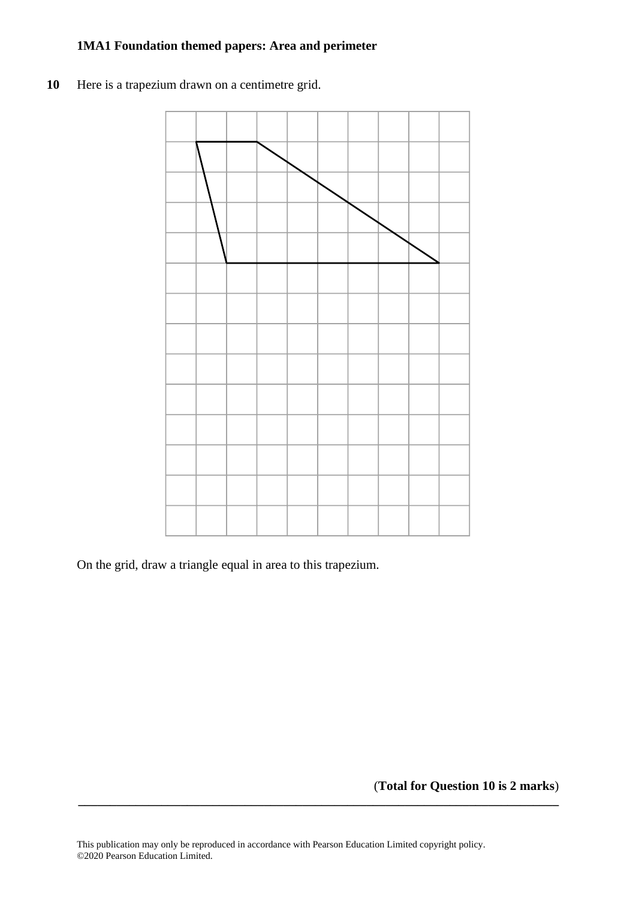10 Here is a trapezium drawn on a centimetre grid.



On the grid, draw a triangle equal in area to this trapezium. On the grid, draw <sup>a</sup> triangle equal in area to this trapezium.

(**Total for Question 10 is 2 marks**)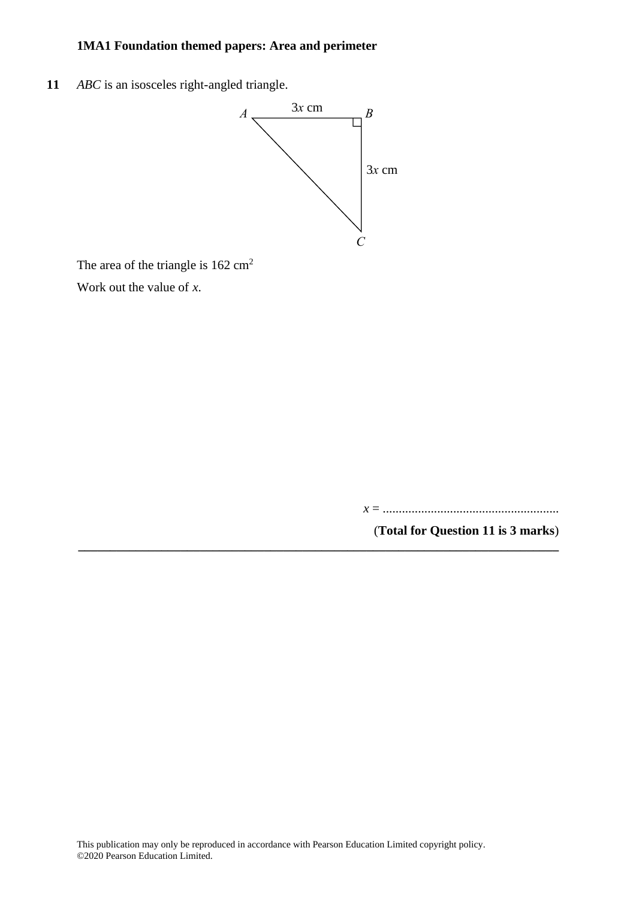**11** *ABC* is an isosceles right-angled triangle. **17** *ABC* is an isosceles right-angled triangle.



The area of the triangle is  $162 \text{ cm}^2$ 

Work out the value of *x*. Work out the value of *<sup>x</sup>*.

*x* = .......................................................

(**Total for Question 11 is 3 marks**) **\_\_\_\_\_\_\_\_\_\_\_\_\_\_\_\_\_\_\_\_\_\_\_\_\_\_\_\_\_\_\_\_\_\_\_\_\_\_\_\_\_\_\_\_\_\_\_\_\_\_\_\_\_\_\_\_\_\_\_\_\_\_\_\_\_\_\_\_\_\_\_\_\_\_\_**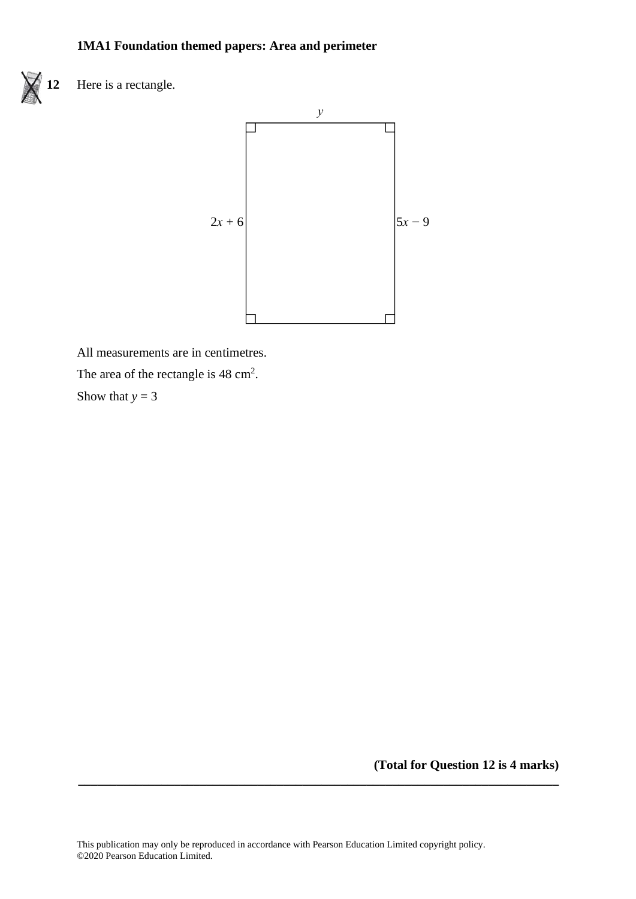

**12** Here is a rectangle. **28** Here is <sup>a</sup> rectangle.



All measurements are in centimetres. All measurements are in centimetres. The area of the rectangle is  $48 \text{ cm}^2$ .

Show that  $y = 3$ 

**(Total for Question 12 is 4 marks)**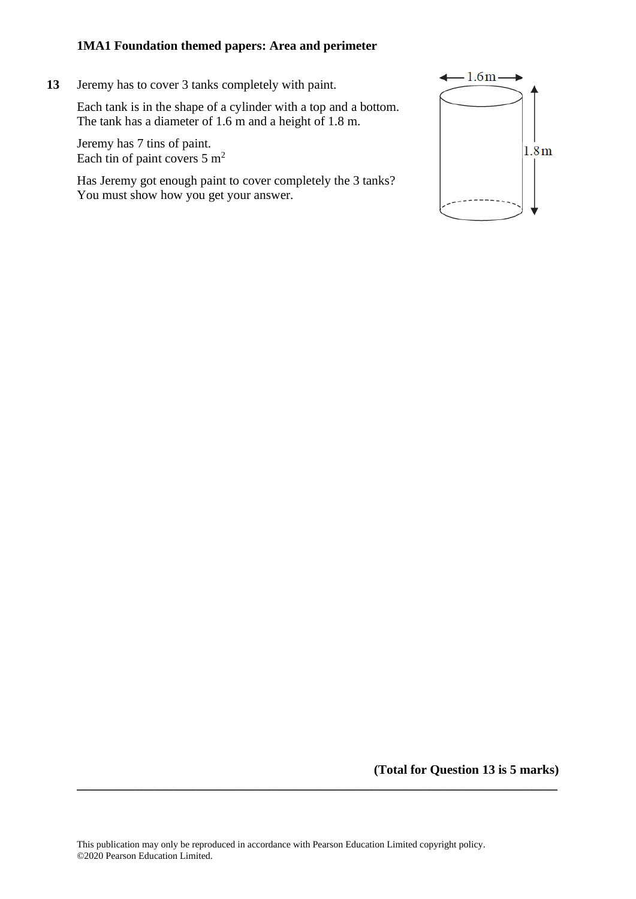**13** Jeremy has to cover 3 tanks completely with paint.

Each tank is in the shape of a cylinder with a top and a bottom. The tank has a diameter of 1.6 m and a height of 1.8 m.

Jeremy has 7 tins of paint. Each tin of paint covers  $5 \text{ m}^2$ 

Has Jeremy got enough paint to cover completely the 3 tanks? You must show how you get your answer.



**(Total for Question 13 is 5 marks)**